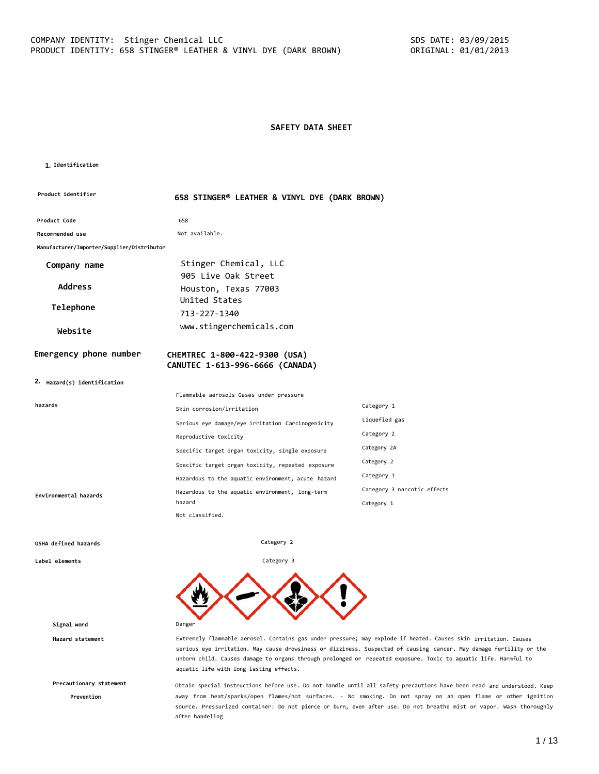#### **SAFETY DATA SHEET**

#### **1. Identification**

| Product identifier                         | 658 STINGER® LEATHER & VINYL DYE (DARK BROWN)                    |                             |  |
|--------------------------------------------|------------------------------------------------------------------|-----------------------------|--|
| Product Code                               | 658                                                              |                             |  |
| <b>Recommended use</b>                     | Not available.                                                   |                             |  |
| Manufacturer/Importer/Supplier/Distributor |                                                                  |                             |  |
| Company name                               | Stinger Chemical, LLC                                            |                             |  |
| <b>Address</b>                             | 905 Live Oak Street<br>Houston, Texas 77003                      |                             |  |
| Telephone                                  | United States<br>713-227-1340                                    |                             |  |
| Website                                    | www.stingerchemicals.com                                         |                             |  |
| Emergency phone number                     | CHEMTREC 1-800-422-9300 (USA)<br>CANUTEC 1-613-996-6666 (CANADA) |                             |  |
| 2. Hazard(s) identification                |                                                                  |                             |  |
|                                            | Flammable aerosols Gases under pressure                          |                             |  |
| hazards                                    | Skin corrosion/irritation                                        | Category 1                  |  |
|                                            | Serious eye damage/eye irritation Carcinogenicity                | Liquefied gas               |  |
|                                            | Reproductive toxicity                                            | Category 2                  |  |
|                                            | Specific target organ toxicity, single exposure                  | Category 2A                 |  |
|                                            | Specific target organ toxicity, repeated exposure                | Category 2                  |  |
|                                            | Hazardous to the aquatic environment, acute hazard               | Category 1                  |  |
| Environmental hazards                      | Hazardous to the aquatic environment, long-term                  | Category 3 narcotic effects |  |
|                                            | hazard<br>Not classified.                                        | Category 1                  |  |
|                                            |                                                                  |                             |  |

Category 2

Category 3

#### **OSHA defined hazards**

**Label elements**

**Signal word** Danger

**Precautionary statement**

**Prevention**

**Hazard statement** Extremely flammable aerosol. Contains gas under pressure; may explode if heated. Causes skin irritation. Causes serious eye irritation. May cause drowsiness or dizziness. Suspected of causing cancer. May damage fertility or the unborn child. Causes damage to organs through prolonged or repeated exposure. Toxic to aquatic life. Harmful to aquatic life with long lasting effects.

> Obtain special instructions before use. Do not handle until all safety precautions have been read and understood. Keep away from heat/sparks/open flames/hot surfaces. - No smoking. Do not spray on an open flame or other ignition source. Pressurized container: Do not pierce or burn, even after use. Do not breathe mist or vapor. Wash thoroughly after handeling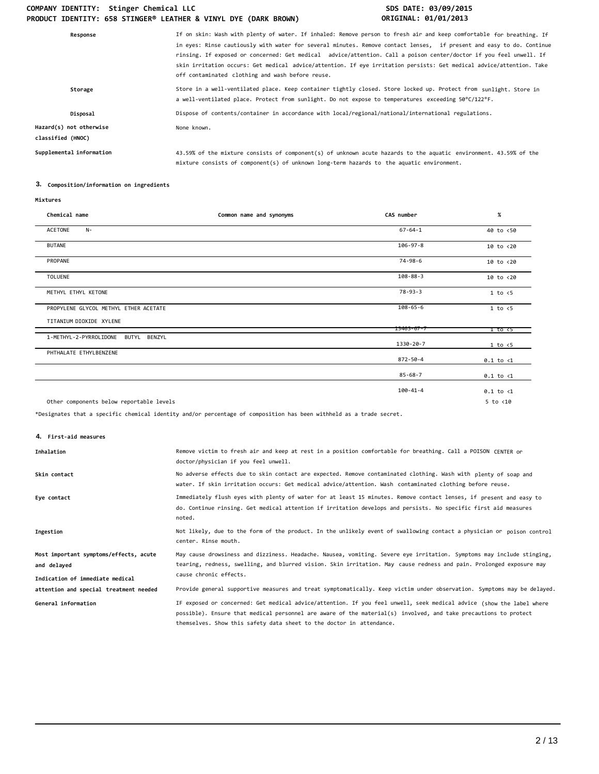| Response                                     | If on skin: Wash with plenty of water. If inhaled: Remove person to fresh air and keep comfortable for breathing. If<br>in eyes: Rinse cautiously with water for several minutes. Remove contact lenses, if present and easy to do. Continue<br>rinsing. If exposed or concerned: Get medical advice/attention. Call a poison center/doctor if you feel unwell. If<br>skin irritation occurs: Get medical advice/attention. If eye irritation persists: Get medical advice/attention. Take<br>off contaminated clothing and wash before reuse. |
|----------------------------------------------|------------------------------------------------------------------------------------------------------------------------------------------------------------------------------------------------------------------------------------------------------------------------------------------------------------------------------------------------------------------------------------------------------------------------------------------------------------------------------------------------------------------------------------------------|
| Storage                                      | Store in a well-ventilated place. Keep container tightly closed. Store locked up. Protect from sunlight. Store in<br>a well-ventilated place. Protect from sunlight. Do not expose to temperatures exceeding 50°C/122°F.                                                                                                                                                                                                                                                                                                                       |
| Disposal                                     | Dispose of contents/container in accordance with local/regional/national/international regulations.                                                                                                                                                                                                                                                                                                                                                                                                                                            |
| Hazard(s) not otherwise<br>classified (HNOC) | None known.                                                                                                                                                                                                                                                                                                                                                                                                                                                                                                                                    |
| Supplemental information                     | 43.59% of the mixture consists of component(s) of unknown acute hazards to the aquatic environment. 43.59% of the<br>mixture consists of component(s) of unknown long-term hazards to the aquatic environment.                                                                                                                                                                                                                                                                                                                                 |

## **3. Composition/information on ingredients**

| Chemical name                             | Common name and synonyms | CAS number       | $\%$                 |
|-------------------------------------------|--------------------------|------------------|----------------------|
| ACETONE<br>$N-$                           |                          | $67 - 64 - 1$    | 40 to <50            |
| <b>BUTANE</b>                             |                          | $106 - 97 - 8$   | $10$ to $< 20$       |
| PROPANE                                   |                          | 74-98-6          | 10 to <20            |
| <b>TOLUENE</b>                            |                          | $108 - 88 - 3$   | 10 to <20            |
| METHYL ETHYL KETONE                       |                          | $78 - 93 - 3$    | 1 to < 5             |
| PROPYLENE GLYCOL METHYL ETHER ACETATE     |                          | $108 - 65 - 6$   | $1$ to $\leq 5$      |
| TITANIUM DIOXIDE XYLENE                   |                          | $13463 - 67 - 7$ | 1 to <5              |
| 1-METHYL-2-PYRROLIDONE<br>BUTYL<br>BENZYL |                          | 1330-20-7        | 1 to < 5             |
| PHTHALATE ETHYLBENZENE                    |                          | 872-50-4         | $0.1$ to $\langle 1$ |
|                                           |                          | $85 - 68 - 7$    | $0.1$ to $\langle 1$ |
|                                           |                          | 100-41-4         | $0.1$ to $\langle 1$ |
| Other components below reportable levels  |                          |                  | $5$ to $<$ 10        |

\*Designates that a specific chemical identity and/or percentage of composition has been withheld as a trade secret.

**4. First-aid measures**

| Inhalation                                                                               | Remove victim to fresh air and keep at rest in a position comfortable for breathing. Call a POISON CENTER or<br>doctor/physician if you feel unwell.                                                                                                                   |
|------------------------------------------------------------------------------------------|------------------------------------------------------------------------------------------------------------------------------------------------------------------------------------------------------------------------------------------------------------------------|
| Skin contact                                                                             | No adverse effects due to skin contact are expected. Remove contaminated clothing. Wash with plenty of soap and<br>water. If skin irritation occurs: Get medical advice/attention. Wash contaminated clothing before reuse.                                            |
| Eye contact                                                                              | Immediately flush eyes with plenty of water for at least 15 minutes. Remove contact lenses, if present and easy to<br>do. Continue rinsing. Get medical attention if irritation develops and persists. No specific first aid measures<br>noted.                        |
| Ingestion                                                                                | Not likely, due to the form of the product. In the unlikely event of swallowing contact a physician or poison control<br>center. Rinse mouth.                                                                                                                          |
| Most important symptoms/effects, acute<br>and delayed<br>Indication of immediate medical | May cause drowsiness and dizziness. Headache. Nausea, vomiting. Severe eye irritation. Symptoms may include stinging,<br>tearing, redness, swelling, and blurred vision. Skin irritation. May cause redness and pain. Prolonged exposure may<br>cause chronic effects. |
| attention and special treatment needed<br>General information                            | Provide general supportive measures and treat symptomatically. Keep victim under observation. Symptoms may be delayed.<br>IF exposed or concerned: Get medical advice/attention. If you feel unwell, seek medical advice (show the label where                         |
|                                                                                          | possible). Ensure that medical personnel are aware of the material(s) involved, and take precautions to protect<br>themselves. Show this safety data sheet to the doctor in attendance.                                                                                |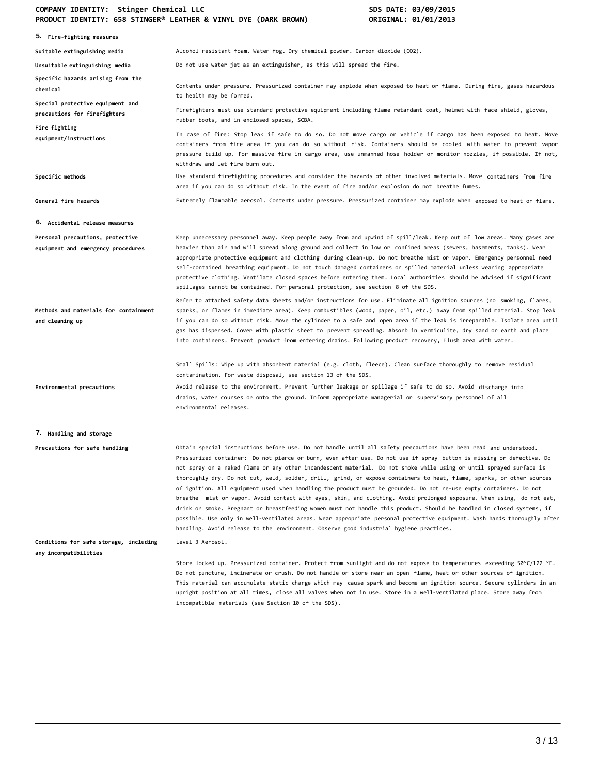| 5. Fire-fighting measures                                              |                                                                                                                                                                                                                                                                                                                                                                                                                                                                                                                                                                                                                                                                                                                                                                                                                                                                                                                                                                                                                                                                                          |
|------------------------------------------------------------------------|------------------------------------------------------------------------------------------------------------------------------------------------------------------------------------------------------------------------------------------------------------------------------------------------------------------------------------------------------------------------------------------------------------------------------------------------------------------------------------------------------------------------------------------------------------------------------------------------------------------------------------------------------------------------------------------------------------------------------------------------------------------------------------------------------------------------------------------------------------------------------------------------------------------------------------------------------------------------------------------------------------------------------------------------------------------------------------------|
| Suitable extinguishing media                                           | Alcohol resistant foam. Water fog. Dry chemical powder. Carbon dioxide (CO2).                                                                                                                                                                                                                                                                                                                                                                                                                                                                                                                                                                                                                                                                                                                                                                                                                                                                                                                                                                                                            |
| Unsuitable extinguishing media                                         | Do not use water jet as an extinguisher, as this will spread the fire.                                                                                                                                                                                                                                                                                                                                                                                                                                                                                                                                                                                                                                                                                                                                                                                                                                                                                                                                                                                                                   |
| Specific hazards arising from the<br>chemical                          | Contents under pressure. Pressurized container may explode when exposed to heat or flame. During fire, gases hazardous<br>to health may be formed.                                                                                                                                                                                                                                                                                                                                                                                                                                                                                                                                                                                                                                                                                                                                                                                                                                                                                                                                       |
| Special protective equipment and<br>precautions for firefighters       | Firefighters must use standard protective equipment including flame retardant coat, helmet with face shield, gloves,<br>rubber boots, and in enclosed spaces, SCBA.                                                                                                                                                                                                                                                                                                                                                                                                                                                                                                                                                                                                                                                                                                                                                                                                                                                                                                                      |
| Fire fighting<br>equipment/instructions                                | In case of fire: Stop leak if safe to do so. Do not move cargo or vehicle if cargo has been exposed to heat. Move<br>containers from fire area if you can do so without risk. Containers should be cooled with water to prevent vapor<br>pressure build up. For massive fire in cargo area, use unmanned hose holder or monitor nozzles, if possible. If not,<br>withdraw and let fire burn out.                                                                                                                                                                                                                                                                                                                                                                                                                                                                                                                                                                                                                                                                                         |
| Specific methods                                                       | Use standard firefighting procedures and consider the hazards of other involved materials. Move containers from fire<br>area if you can do so without risk. In the event of fire and/or explosion do not breathe fumes.                                                                                                                                                                                                                                                                                                                                                                                                                                                                                                                                                                                                                                                                                                                                                                                                                                                                  |
| General fire hazards                                                   | Extremely flammable aerosol. Contents under pressure. Pressurized container may explode when exposed to heat or flame.                                                                                                                                                                                                                                                                                                                                                                                                                                                                                                                                                                                                                                                                                                                                                                                                                                                                                                                                                                   |
| <b>6. Accidental release measures</b>                                  |                                                                                                                                                                                                                                                                                                                                                                                                                                                                                                                                                                                                                                                                                                                                                                                                                                                                                                                                                                                                                                                                                          |
| Personal precautions, protective<br>equipment and emergency procedures | Keep unnecessary personnel away. Keep people away from and upwind of spill/leak. Keep out of low areas. Many gases are<br>heavier than air and will spread along ground and collect in low or confined areas (sewers, basements, tanks). Wear<br>appropriate protective equipment and clothing during clean-up. Do not breathe mist or vapor. Emergency personnel need<br>self-contained breathing equipment. Do not touch damaged containers or spilled material unless wearing appropriate<br>protective clothing. Ventilate closed spaces before entering them. Local authorities should be advised if significant<br>spillages cannot be contained. For personal protection, see section 8 of the SDS.                                                                                                                                                                                                                                                                                                                                                                               |
| Methods and materials for containment<br>and cleaning up               | Refer to attached safety data sheets and/or instructions for use. Eliminate all ignition sources (no smoking, flares,<br>sparks, or flames in immediate area). Keep combustibles (wood, paper, oil, etc.) away from spilled material. Stop leak<br>if you can do so without risk. Move the cylinder to a safe and open area if the leak is irreparable. Isolate area until<br>gas has dispersed. Cover with plastic sheet to prevent spreading. Absorb in vermiculite, dry sand or earth and place<br>into containers. Prevent product from entering drains. Following product recovery, flush area with water.                                                                                                                                                                                                                                                                                                                                                                                                                                                                          |
|                                                                        | Small Spills: Wipe up with absorbent material (e.g. cloth, fleece). Clean surface thoroughly to remove residual<br>contamination. For waste disposal, see section 13 of the SDS.                                                                                                                                                                                                                                                                                                                                                                                                                                                                                                                                                                                                                                                                                                                                                                                                                                                                                                         |
| Environmental precautions                                              | Avoid release to the environment. Prevent further leakage or spillage if safe to do so. Avoid discharge into<br>drains, water courses or onto the ground. Inform appropriate managerial or supervisory personnel of all<br>environmental releases.                                                                                                                                                                                                                                                                                                                                                                                                                                                                                                                                                                                                                                                                                                                                                                                                                                       |
| 7. Handling and storage                                                |                                                                                                                                                                                                                                                                                                                                                                                                                                                                                                                                                                                                                                                                                                                                                                                                                                                                                                                                                                                                                                                                                          |
| Precautions for safe handling                                          | Obtain special instructions before use. Do not handle until all safety precautions have been read and understood.<br>Pressurized container: Do not pierce or burn, even after use. Do not use if spray button is missing or defective. Do<br>not spray on a naked flame or any other incandescent material. Do not smoke while using or until sprayed surface is<br>thoroughly dry. Do not cut, weld, solder, drill, grind, or expose containers to heat, flame, sparks, or other sources<br>of ignition. All equipment used when handling the product must be grounded. Do not re-use empty containers. Do not<br>breathe  mist or vapor. Avoid contact with eyes, skin, and clothing. Avoid prolonged exposure. When using, do not eat,<br>drink or smoke. Pregnant or breastfeeding women must not handle this product. Should be handled in closed systems, if<br>possible. Use only in well-ventilated areas. Wear appropriate personal protective equipment. Wash hands thoroughly after<br>handling. Avoid release to the environment. Observe good industrial hygiene practices. |
| Conditions for safe storage, including<br>any incompatibilities        | Level 3 Aerosol.                                                                                                                                                                                                                                                                                                                                                                                                                                                                                                                                                                                                                                                                                                                                                                                                                                                                                                                                                                                                                                                                         |
|                                                                        | Store locked up. Pressurized container. Protect from sunlight and do not expose to temperatures exceeding 50°C/122 °F.<br>Do not puncture, incinerate or crush. Do not handle or store near an open flame, heat or other sources of ignition.<br>This material can accumulate static charge which may cause spark and become an ignition source. Secure cylinders in an<br>upright position at all times, close all valves when not in use. Store in a well-ventilated place. Store away from<br>incompatible materials (see Section 10 of the SDS).                                                                                                                                                                                                                                                                                                                                                                                                                                                                                                                                     |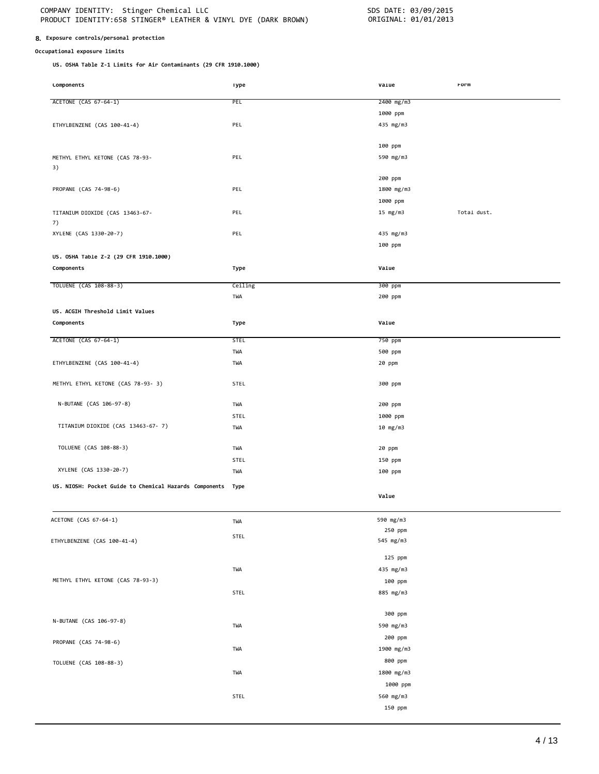#### **8. Exposure controls/personal protection**

#### **Occupational exposure limits**

**US. OSHA Table Z-1 Limits for Air Contaminants (29 CFR 1910.1000)**

| <b>COMPONENTS</b>                                      | <b>Type</b> | varue      | rorm        |
|--------------------------------------------------------|-------------|------------|-------------|
| ACETONE (CAS 67-64-1)                                  | PEL         | 2400 mg/m3 |             |
|                                                        |             |            |             |
|                                                        |             | 1000 ppm   |             |
| ETHYLBENZENE (CAS 100-41-4)                            | PEL         | 435 mg/m3  |             |
|                                                        |             |            |             |
|                                                        |             | 100 ppm    |             |
| METHYL ETHYL KETONE (CAS 78-93-                        | PEL         | 590 mg/m3  |             |
| 3)                                                     |             |            |             |
|                                                        |             | 200 ppm    |             |
| PROPANE (CAS 74-98-6)                                  | PEL         | 1800 mg/m3 |             |
|                                                        |             | 1000 ppm   |             |
| TITANIUM DIOXIDE (CAS 13463-67-                        | PEL         | 15 $mg/m3$ | Total dust. |
| 7)                                                     |             |            |             |
| XYLENE (CAS 1330-20-7)                                 | PEL         | 435 mg/m3  |             |
|                                                        |             | 100 ppm    |             |
| US. OSHA Table Z-2 (29 CFR 1910.1000)                  |             |            |             |
|                                                        |             | Value      |             |
| Components                                             | Type        |            |             |
| TOLUENE (CAS 108-88-3)                                 | Ceiling     | 300 ppm    |             |
|                                                        | TWA         | 200 ppm    |             |
|                                                        |             |            |             |
| US. ACGIH Threshold Limit Values                       |             |            |             |
| Components                                             | Type        | Value      |             |
| ACETONE (CAS 67-64-1)                                  | <b>STEL</b> | 750 ppm    |             |
|                                                        | TWA         | 500 ppm    |             |
| ETHYLBENZENE (CAS 100-41-4)                            | TWA         | 20 ppm     |             |
|                                                        |             |            |             |
| METHYL ETHYL KETONE (CAS 78-93- 3)                     | STEL        | 300 ppm    |             |
|                                                        |             |            |             |
| N-BUTANE (CAS 106-97-8)                                | TWA         | 200 ppm    |             |
|                                                        | STEL        | 1000 ppm   |             |
| TITANIUM DIOXIDE (CAS 13463-67-7)                      | TWA         | 10 mg/m3   |             |
|                                                        |             |            |             |
| TOLUENE (CAS 108-88-3)                                 | TWA         | 20 ppm     |             |
|                                                        | STEL        | 150 ppm    |             |
| XYLENE (CAS 1330-20-7)                                 |             |            |             |
|                                                        | TWA         | 100 ppm    |             |
| US. NIOSH: Pocket Guide to Chemical Hazards Components | Type        |            |             |
|                                                        |             | Value      |             |
|                                                        |             |            |             |
| ACETONE (CAS 67-64-1)                                  | TWA         | 590 mg/m3  |             |
|                                                        |             | 250 ppm    |             |
| ETHYLBENZENE (CAS 100-41-4)                            | STEL        | 545 mg/m3  |             |
|                                                        |             |            |             |
|                                                        |             | 125 ppm    |             |
|                                                        | TWA         | 435 mg/m3  |             |
| METHYL ETHYL KETONE (CAS 78-93-3)                      |             | 100 ppm    |             |
|                                                        | STEL        | 885 mg/m3  |             |
|                                                        |             |            |             |
|                                                        |             | 300 ppm    |             |
| N-BUTANE (CAS 106-97-8)                                | TWA         | 590 mg/m3  |             |
|                                                        |             | 200 ppm    |             |
| PROPANE (CAS 74-98-6)                                  | TWA         | 1900 mg/m3 |             |
|                                                        |             |            |             |
| TOLUENE (CAS 108-88-3)                                 |             | 800 ppm    |             |
|                                                        | TWA         | 1800 mg/m3 |             |
|                                                        |             | 1000 ppm   |             |
|                                                        | STEL        | 560 mg/m3  |             |
|                                                        |             | 150 ppm    |             |
|                                                        |             |            |             |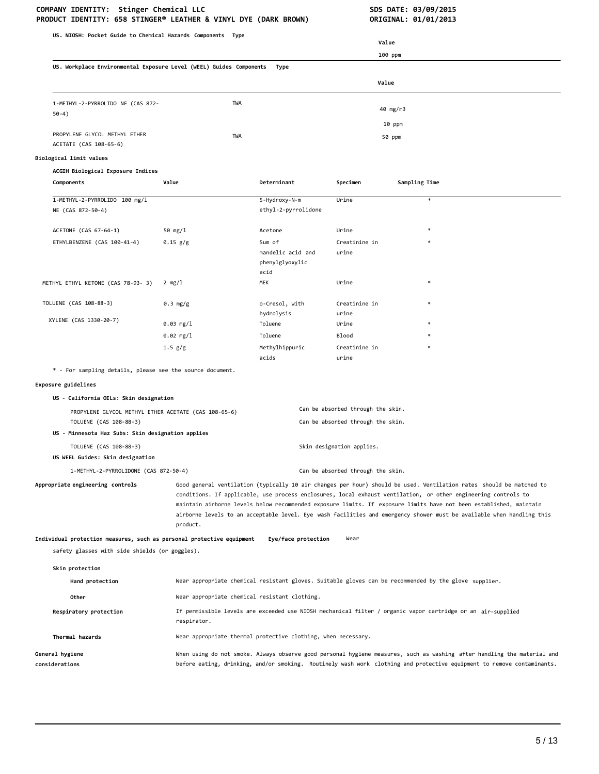| US. NIOSH: Pocket Guide to Chemical Hazards Components Type                          |                                                                                                                                                                                                                                                                                                                                                                                                                                                                                                  |                                                                                                       |                                   |               |                                                                                                             |
|--------------------------------------------------------------------------------------|--------------------------------------------------------------------------------------------------------------------------------------------------------------------------------------------------------------------------------------------------------------------------------------------------------------------------------------------------------------------------------------------------------------------------------------------------------------------------------------------------|-------------------------------------------------------------------------------------------------------|-----------------------------------|---------------|-------------------------------------------------------------------------------------------------------------|
|                                                                                      |                                                                                                                                                                                                                                                                                                                                                                                                                                                                                                  |                                                                                                       | Value                             |               |                                                                                                             |
|                                                                                      |                                                                                                                                                                                                                                                                                                                                                                                                                                                                                                  |                                                                                                       | 100 ppm                           |               |                                                                                                             |
| US. Workplace Environmental Exposure Level (WEEL) Guides Components<br>Type<br>Value |                                                                                                                                                                                                                                                                                                                                                                                                                                                                                                  |                                                                                                       |                                   |               |                                                                                                             |
|                                                                                      |                                                                                                                                                                                                                                                                                                                                                                                                                                                                                                  |                                                                                                       |                                   |               |                                                                                                             |
| 1-METHYL-2-PYRROLIDO NE (CAS 872-<br>$50-4)$                                         | TWA                                                                                                                                                                                                                                                                                                                                                                                                                                                                                              |                                                                                                       |                                   | 40 mg/m3      |                                                                                                             |
|                                                                                      |                                                                                                                                                                                                                                                                                                                                                                                                                                                                                                  |                                                                                                       |                                   | 10 ppm        |                                                                                                             |
| PROPYLENE GLYCOL METHYL ETHER<br>ACETATE (CAS 108-65-6)                              | TWA                                                                                                                                                                                                                                                                                                                                                                                                                                                                                              |                                                                                                       |                                   | 50 ppm        |                                                                                                             |
| Biological limit values                                                              |                                                                                                                                                                                                                                                                                                                                                                                                                                                                                                  |                                                                                                       |                                   |               |                                                                                                             |
| ACGIH Biological Exposure Indices                                                    |                                                                                                                                                                                                                                                                                                                                                                                                                                                                                                  |                                                                                                       |                                   |               |                                                                                                             |
| Components                                                                           | Value                                                                                                                                                                                                                                                                                                                                                                                                                                                                                            | Determinant                                                                                           | Specimen                          | Sampling Time |                                                                                                             |
| 1-METHYL-2-PYRROLIDO 100 mg/l<br>NE (CAS 872-50-4)                                   |                                                                                                                                                                                                                                                                                                                                                                                                                                                                                                  | 5-Hydroxy-N-m<br>ethyl-2-pyrrolidone                                                                  | Urine                             |               | $\ast$                                                                                                      |
| ACETONE (CAS 67-64-1)                                                                | 50 mg/l                                                                                                                                                                                                                                                                                                                                                                                                                                                                                          | Acetone                                                                                               | Urine                             |               | $\ast$                                                                                                      |
| ETHYLBENZENE (CAS 100-41-4)                                                          | $0.15$ g/g                                                                                                                                                                                                                                                                                                                                                                                                                                                                                       | Sum of                                                                                                | Creatinine in                     |               | $\ast$                                                                                                      |
|                                                                                      |                                                                                                                                                                                                                                                                                                                                                                                                                                                                                                  | mandelic acid and<br>phenylglyoxylic<br>acid                                                          | urine                             |               |                                                                                                             |
| METHYL ETHYL KETONE (CAS 78-93- 3)                                                   | $2 \, mg/l$                                                                                                                                                                                                                                                                                                                                                                                                                                                                                      | MEK                                                                                                   | Urine                             |               |                                                                                                             |
|                                                                                      |                                                                                                                                                                                                                                                                                                                                                                                                                                                                                                  |                                                                                                       |                                   |               |                                                                                                             |
| TOLUENE (CAS 108-88-3)                                                               | 0.3 mg/g                                                                                                                                                                                                                                                                                                                                                                                                                                                                                         | o-Cresol, with                                                                                        | Creatinine in                     |               |                                                                                                             |
| XYLENE (CAS 1330-20-7)                                                               | 0.03 mg/l                                                                                                                                                                                                                                                                                                                                                                                                                                                                                        | hydrolysis<br>Toluene                                                                                 | urine<br>Urine                    |               |                                                                                                             |
|                                                                                      | 0.02 mg/l                                                                                                                                                                                                                                                                                                                                                                                                                                                                                        | Toluene                                                                                               | <b>Blood</b>                      |               |                                                                                                             |
|                                                                                      | 1.5 g/g                                                                                                                                                                                                                                                                                                                                                                                                                                                                                          | Methylhippuric                                                                                        | Creatinine in                     |               | $\ast$                                                                                                      |
|                                                                                      |                                                                                                                                                                                                                                                                                                                                                                                                                                                                                                  | acids                                                                                                 | urine                             |               |                                                                                                             |
| * - For sampling details, please see the source document.                            |                                                                                                                                                                                                                                                                                                                                                                                                                                                                                                  |                                                                                                       |                                   |               |                                                                                                             |
| Exposure guidelines                                                                  |                                                                                                                                                                                                                                                                                                                                                                                                                                                                                                  |                                                                                                       |                                   |               |                                                                                                             |
| US - California OELs: Skin designation                                               |                                                                                                                                                                                                                                                                                                                                                                                                                                                                                                  |                                                                                                       |                                   |               |                                                                                                             |
| PROPYLENE GLYCOL METHYL ETHER ACETATE (CAS 108-65-6)                                 |                                                                                                                                                                                                                                                                                                                                                                                                                                                                                                  |                                                                                                       | Can be absorbed through the skin. |               |                                                                                                             |
| TOLUENE (CAS 108-88-3)<br>US - Minnesota Haz Subs: Skin designation applies          |                                                                                                                                                                                                                                                                                                                                                                                                                                                                                                  |                                                                                                       | Can be absorbed through the skin. |               |                                                                                                             |
| TOLUENE (CAS 108-88-3)<br>Skin designation applies.                                  |                                                                                                                                                                                                                                                                                                                                                                                                                                                                                                  |                                                                                                       |                                   |               |                                                                                                             |
| US WEEL Guides: Skin designation                                                     |                                                                                                                                                                                                                                                                                                                                                                                                                                                                                                  |                                                                                                       |                                   |               |                                                                                                             |
| 1-METHYL-2-PYRROLIDONE (CAS 872-50-4)                                                |                                                                                                                                                                                                                                                                                                                                                                                                                                                                                                  |                                                                                                       | Can be absorbed through the skin. |               |                                                                                                             |
| Appropriate engineering controls                                                     | Good general ventilation (typically 10 air changes per hour) should be used. Ventilation rates should be matched to<br>conditions. If applicable, use process enclosures, local exhaust ventilation, or other engineering controls to<br>maintain airborne levels below recommended exposure limits. If exposure limits have not been established, maintain<br>airborne levels to an acceptable level. Eye wash facilities and emergency shower must be available when handling this<br>product. |                                                                                                       |                                   |               |                                                                                                             |
| Individual protection measures, such as personal protective equipment                |                                                                                                                                                                                                                                                                                                                                                                                                                                                                                                  | Eye/face protection                                                                                   | Wear                              |               |                                                                                                             |
| safety glasses with side shields (or goggles).                                       |                                                                                                                                                                                                                                                                                                                                                                                                                                                                                                  |                                                                                                       |                                   |               |                                                                                                             |
| Skin protection                                                                      |                                                                                                                                                                                                                                                                                                                                                                                                                                                                                                  |                                                                                                       |                                   |               |                                                                                                             |
| Hand protection                                                                      |                                                                                                                                                                                                                                                                                                                                                                                                                                                                                                  | Wear appropriate chemical resistant gloves. Suitable gloves can be recommended by the glove supplier. |                                   |               |                                                                                                             |
| Other                                                                                |                                                                                                                                                                                                                                                                                                                                                                                                                                                                                                  | Wear appropriate chemical resistant clothing.                                                         |                                   |               |                                                                                                             |
| Respiratory protection                                                               | respirator.                                                                                                                                                                                                                                                                                                                                                                                                                                                                                      |                                                                                                       |                                   |               | If permissible levels are exceeded use NIOSH mechanical filter / organic vapor cartridge or an air-supplied |
| Thermal hazards                                                                      |                                                                                                                                                                                                                                                                                                                                                                                                                                                                                                  | Wear appropriate thermal protective clothing, when necessary.                                         |                                   |               |                                                                                                             |
| General hygiene<br>considerations                                                    | When using do not smoke. Always observe good personal hygiene measures, such as washing after handling the material and<br>before eating, drinking, and/or smoking. Routinely wash work clothing and protective equipment to remove contaminants.                                                                                                                                                                                                                                                |                                                                                                       |                                   |               |                                                                                                             |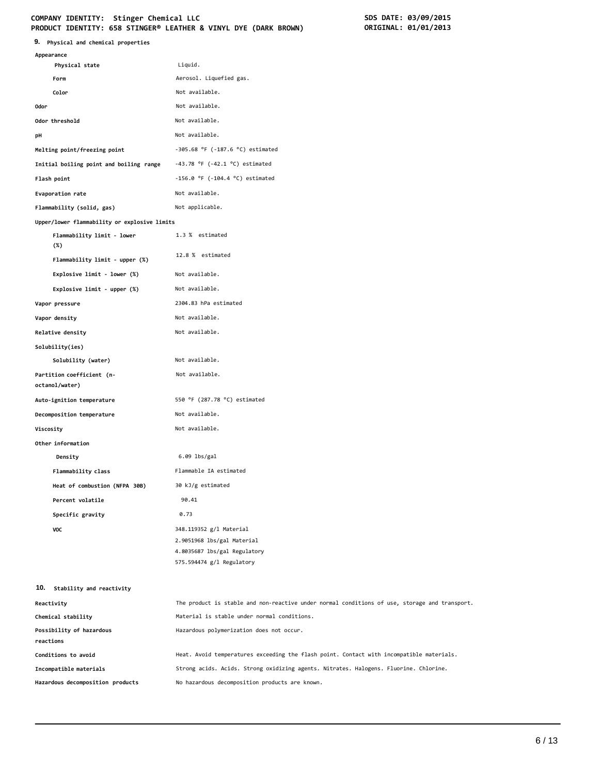#### COMPANY IDENTITY: Stinger Chemical LLC<br>
PRODUCT IDENTITY: 658 STINGER® LEATHER & VINYL DYE (DARK BROWN) **SOME ORIGINAL: 01/01/2013 PRODUCT IDENTITY: 658 STINGER® LEATHER & VINYL DYE (DARK BROWN)**

| 9.<br>Physical and chemical properties       |                                                                                               |
|----------------------------------------------|-----------------------------------------------------------------------------------------------|
| Appearance                                   |                                                                                               |
| Physical state                               | Liquid.                                                                                       |
| Form                                         | Aerosol. Liquefied gas.                                                                       |
| Color                                        | Not available.<br>Not available.                                                              |
| 0dor                                         |                                                                                               |
| Odor threshold                               | Not available.                                                                                |
| pH                                           | Not available.                                                                                |
| Melting point/freezing point                 | $-305.68$ °F ( $-187.6$ °C) estimated                                                         |
| Initial boiling point and boiling range      | $-43.78$ °F ( $-42.1$ °C) estimated                                                           |
| Flash point                                  | $-156.0$ °F ( $-104.4$ °C) estimated                                                          |
| Evaporation rate                             | Not available.                                                                                |
| Flammability (solid, gas)                    | Not applicable.                                                                               |
| Upper/lower flammability or explosive limits |                                                                                               |
| Flammability limit - lower<br>$(\%)$         | 1.3 % estimated                                                                               |
| Flammability limit - upper (%)               | 12.8 % estimated                                                                              |
| Explosive limit - lower (%)                  | Not available.                                                                                |
| Explosive limit - upper (%)                  | Not available.                                                                                |
| Vapor pressure                               | 2304.83 hPa estimated                                                                         |
| Vapor density                                | Not available.                                                                                |
| Relative density                             | Not available.                                                                                |
| Solubility(ies)                              |                                                                                               |
| Solubility (water)                           | Not available.                                                                                |
| Partition coefficient (n-                    | Not available.                                                                                |
| octanol/water)                               |                                                                                               |
| Auto-ignition temperature                    | 550 °F (287.78 °C) estimated                                                                  |
| Decomposition temperature                    | Not available.                                                                                |
| Viscosity                                    | Not available.                                                                                |
| Other information                            |                                                                                               |
| Density                                      | $6.09$ lbs/gal                                                                                |
| Flammability class                           | Flammable IA estimated                                                                        |
| Heat of combustion (NFPA 30B)                | 30 kJ/g estimated                                                                             |
| Percent volatile                             | 90.41                                                                                         |
| Specific gravity                             | 0.73                                                                                          |
| VOC                                          | 348.119352 g/l Material                                                                       |
|                                              | 2.9051968 lbs/gal Material                                                                    |
|                                              | 4.8035687 lbs/gal Regulatory<br>575.594474 g/l Regulatory                                     |
| 10.<br>Stability and reactivity              |                                                                                               |
| Reactivity                                   | The product is stable and non-reactive under normal conditions of use, storage and transport. |
| Chemical stability                           | Material is stable under normal conditions.                                                   |
| Possibility of hazardous                     | Hazardous polymerization does not occur.                                                      |
| reactions                                    |                                                                                               |
| Conditions to avoid                          | Heat. Avoid temperatures exceeding the flash point. Contact with incompatible materials.      |
| Incompatible materials                       | Strong acids. Acids. Strong oxidizing agents. Nitrates. Halogens. Fluorine. Chlorine.         |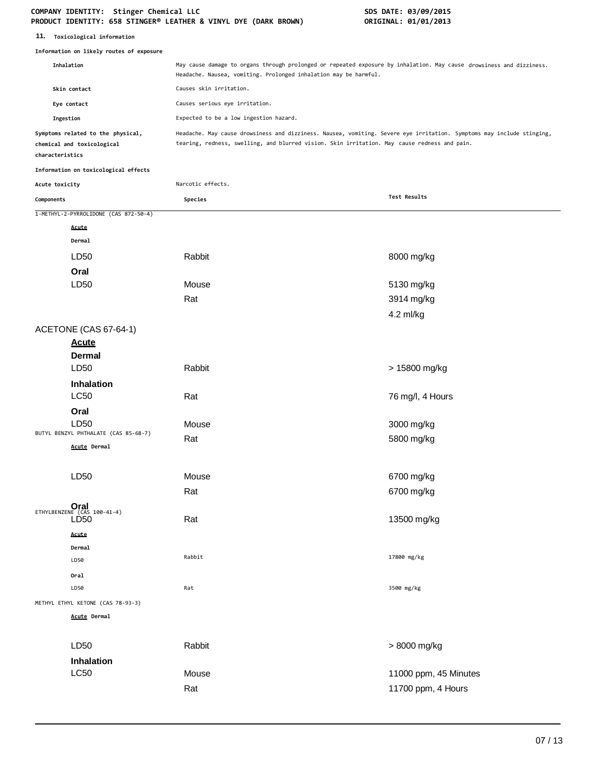| 11. Toxicological information            |                                                                 |                                                                                                                                                                                                                       |                       |  |
|------------------------------------------|-----------------------------------------------------------------|-----------------------------------------------------------------------------------------------------------------------------------------------------------------------------------------------------------------------|-----------------------|--|
| Information on likely routes of exposure |                                                                 |                                                                                                                                                                                                                       |                       |  |
|                                          | Inhalation                                                      | May cause damage to organs through prolonged or repeated exposure by inhalation. May cause drowsiness and dizziness.<br>Headache. Nausea, vomiting. Prolonged inhalation may be harmful.                              |                       |  |
|                                          | Skin contact                                                    | Causes skin irritation.                                                                                                                                                                                               |                       |  |
|                                          | Eye contact                                                     | Causes serious eye irritation.                                                                                                                                                                                        |                       |  |
| Ingestion                                |                                                                 | Expected to be a low ingestion hazard.                                                                                                                                                                                |                       |  |
| characteristics                          | Symptoms related to the physical,<br>chemical and toxicological | Headache. May cause drowsiness and dizziness. Nausea, vomiting. Severe eye irritation. Symptoms may include stinging,<br>tearing, redness, swelling, and blurred vision. Skin irritation. May cause redness and pain. |                       |  |
|                                          | Information on toxicological effects                            |                                                                                                                                                                                                                       |                       |  |
| Acute toxicity                           |                                                                 | Narcotic effects.                                                                                                                                                                                                     |                       |  |
| Components                               |                                                                 | Species                                                                                                                                                                                                               | Test Results          |  |
|                                          | 1-METHYL-2-PYRROLIDONE (CAS 872-50-4)                           |                                                                                                                                                                                                                       |                       |  |
|                                          | Acute                                                           |                                                                                                                                                                                                                       |                       |  |
|                                          | Dermal                                                          |                                                                                                                                                                                                                       |                       |  |
|                                          | LD50                                                            | Rabbit                                                                                                                                                                                                                | 8000 mg/kg            |  |
|                                          | Oral                                                            |                                                                                                                                                                                                                       |                       |  |
|                                          | LD50                                                            | Mouse                                                                                                                                                                                                                 | 5130 mg/kg            |  |
|                                          |                                                                 | Rat                                                                                                                                                                                                                   | 3914 mg/kg            |  |
|                                          |                                                                 |                                                                                                                                                                                                                       | 4.2 ml/kg             |  |
|                                          | ACETONE (CAS 67-64-1)                                           |                                                                                                                                                                                                                       |                       |  |
|                                          | <b>Acute</b>                                                    |                                                                                                                                                                                                                       |                       |  |
|                                          | <b>Dermal</b>                                                   |                                                                                                                                                                                                                       |                       |  |
|                                          | LD50                                                            | Rabbit                                                                                                                                                                                                                | > 15800 mg/kg         |  |
|                                          | Inhalation                                                      |                                                                                                                                                                                                                       |                       |  |
|                                          | <b>LC50</b>                                                     | Rat                                                                                                                                                                                                                   | 76 mg/l, 4 Hours      |  |
|                                          | Oral                                                            |                                                                                                                                                                                                                       |                       |  |
|                                          | LD50                                                            | Mouse                                                                                                                                                                                                                 | 3000 mg/kg            |  |
|                                          | BUTYL BENZYL PHTHALATE (CAS 85-68-7)<br>Acute Dermal            | Rat                                                                                                                                                                                                                   | 5800 mg/kg            |  |
|                                          |                                                                 |                                                                                                                                                                                                                       |                       |  |
|                                          | LD50                                                            | Mouse                                                                                                                                                                                                                 | 6700 mg/kg            |  |
|                                          |                                                                 |                                                                                                                                                                                                                       |                       |  |
|                                          |                                                                 | Rat                                                                                                                                                                                                                   | 6700 mg/kg            |  |
|                                          | ETHYLBENZENE (CAS 100-41-4)<br>LD <sub>50</sub>                 | Rat                                                                                                                                                                                                                   | 13500 mg/kg           |  |
|                                          |                                                                 |                                                                                                                                                                                                                       |                       |  |
|                                          | Acute<br>Dermal                                                 |                                                                                                                                                                                                                       |                       |  |
|                                          | LD50                                                            | Rabbit                                                                                                                                                                                                                | 17800 mg/kg           |  |
|                                          | Oral                                                            |                                                                                                                                                                                                                       |                       |  |
|                                          | LD50                                                            | Rat                                                                                                                                                                                                                   | 3500 mg/kg            |  |
|                                          | METHYL ETHYL KETONE (CAS 78-93-3)                               |                                                                                                                                                                                                                       |                       |  |
|                                          | <b>Acute Dermal</b>                                             |                                                                                                                                                                                                                       |                       |  |
|                                          |                                                                 |                                                                                                                                                                                                                       |                       |  |
|                                          | LD50                                                            | Rabbit                                                                                                                                                                                                                | > 8000 mg/kg          |  |
|                                          | Inhalation                                                      |                                                                                                                                                                                                                       |                       |  |
|                                          | <b>LC50</b>                                                     | Mouse                                                                                                                                                                                                                 | 11000 ppm, 45 Minutes |  |
|                                          |                                                                 | Rat                                                                                                                                                                                                                   | 11700 ppm, 4 Hours    |  |
|                                          |                                                                 |                                                                                                                                                                                                                       |                       |  |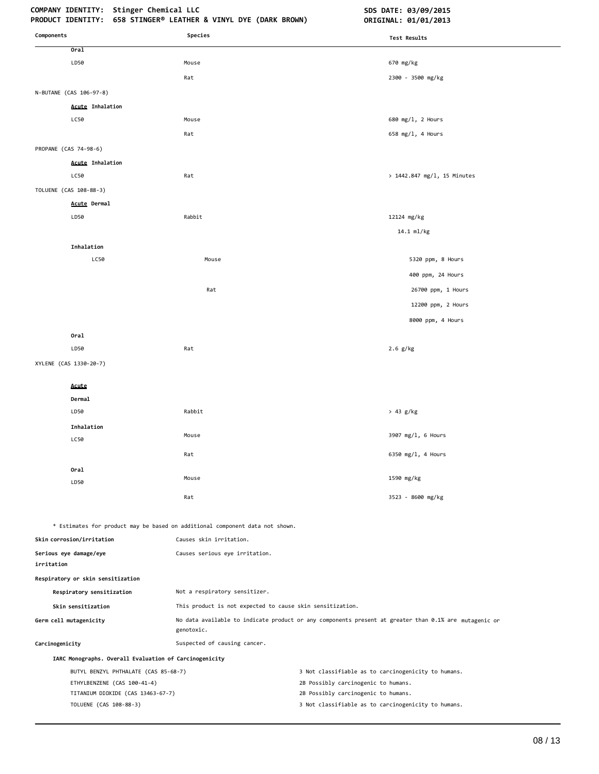# **COMPANY IDENTITY: Stinger Chemical LLC SDS DATE: 03/09/2015**

| Components                                             | Species                                                                                                 | <b>Test Results</b>                                                                                   |
|--------------------------------------------------------|---------------------------------------------------------------------------------------------------------|-------------------------------------------------------------------------------------------------------|
| Oral                                                   |                                                                                                         |                                                                                                       |
| LD50                                                   | Mouse                                                                                                   | 670 mg/kg                                                                                             |
|                                                        | Rat                                                                                                     | 2300 - 3500 mg/kg                                                                                     |
| N-BUTANE (CAS 106-97-8)                                |                                                                                                         |                                                                                                       |
| <b>Acute Inhalation</b>                                |                                                                                                         |                                                                                                       |
| LC50                                                   | Mouse                                                                                                   | 680 mg/1, 2 Hours                                                                                     |
|                                                        | Rat                                                                                                     | 658 mg/l, 4 Hours                                                                                     |
| PROPANE (CAS 74-98-6)                                  |                                                                                                         |                                                                                                       |
| <b>Acute Inhalation</b>                                |                                                                                                         |                                                                                                       |
| LC50                                                   | Rat                                                                                                     | > 1442.847 mg/l, 15 Minutes                                                                           |
| TOLUENE (CAS 108-88-3)                                 |                                                                                                         |                                                                                                       |
| Acute Dermal                                           |                                                                                                         |                                                                                                       |
| LD50                                                   | Rabbit                                                                                                  | 12124 mg/kg                                                                                           |
|                                                        |                                                                                                         | 14.1 ml/kg                                                                                            |
| Inhalation                                             |                                                                                                         |                                                                                                       |
| LC50                                                   | Mouse                                                                                                   | 5320 ppm, 8 Hours                                                                                     |
|                                                        |                                                                                                         | 400 ppm, 24 Hours                                                                                     |
|                                                        | Rat                                                                                                     | 26700 ppm, 1 Hours                                                                                    |
|                                                        |                                                                                                         | 12200 ppm, 2 Hours                                                                                    |
|                                                        |                                                                                                         | 8000 ppm, 4 Hours                                                                                     |
| Oral                                                   |                                                                                                         |                                                                                                       |
| LD50                                                   | Rat                                                                                                     | $2.6$ g/kg                                                                                            |
| XYLENE (CAS 1330-20-7)                                 |                                                                                                         |                                                                                                       |
|                                                        |                                                                                                         |                                                                                                       |
| Acute                                                  |                                                                                                         |                                                                                                       |
| Dermal                                                 |                                                                                                         |                                                                                                       |
| LD50                                                   | Rabbit                                                                                                  | > 43 g/kg                                                                                             |
| Inhalation                                             | Mouse                                                                                                   | 3907 mg/l, 6 Hours                                                                                    |
| LC50                                                   |                                                                                                         |                                                                                                       |
|                                                        | Rat                                                                                                     | 6350 mg/l, 4 Hours                                                                                    |
| Oral                                                   | Mouse                                                                                                   | 1590 mg/kg                                                                                            |
| LD50                                                   |                                                                                                         |                                                                                                       |
|                                                        | Rat                                                                                                     | 3523 - 8600 mg/kg                                                                                     |
|                                                        |                                                                                                         |                                                                                                       |
|                                                        | * Estimates for product may be based on additional component data not shown.<br>Causes skin irritation. |                                                                                                       |
| Skin corrosion/irritation                              |                                                                                                         |                                                                                                       |
| Serious eye damage/eye<br>irritation                   | Causes serious eye irritation.                                                                          |                                                                                                       |
| Respiratory or skin sensitization                      |                                                                                                         |                                                                                                       |
| Respiratory sensitization                              | Not a respiratory sensitizer.                                                                           |                                                                                                       |
| Skin sensitization                                     | This product is not expected to cause skin sensitization.                                               |                                                                                                       |
| Germ cell mutagenicity                                 | genotoxic.                                                                                              | No data available to indicate product or any components present at greater than 0.1% are mutagenic or |
| Carcinogenicity                                        | Suspected of causing cancer.                                                                            |                                                                                                       |
| IARC Monographs. Overall Evaluation of Carcinogenicity |                                                                                                         |                                                                                                       |
| BUTYL BENZYL PHTHALATE (CAS 85-68-7)                   |                                                                                                         | 3 Not classifiable as to carcinogenicity to humans.                                                   |
| ETHYLBENZENE (CAS 100-41-4)                            |                                                                                                         | 2B Possibly carcinogenic to humans.                                                                   |
| TITANIUM DIOXIDE (CAS 13463-67-7)                      |                                                                                                         | 2B Possibly carcinogenic to humans.                                                                   |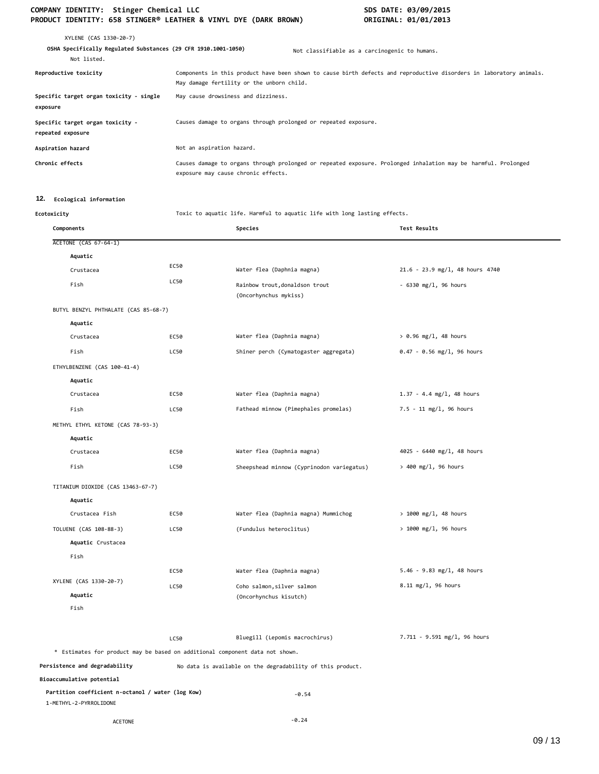## COMPANY IDENTITY: Stinger Chemical LLC<br>PRODUCT IDENTITY: 658 STINGER® LEATHER & VINYL DYE (DARK BROWN) **SOME ALLA PRODUCT IDENTITY: 658 STINGER®** LEATHER & VINYL DYE (DARK BROWN) **PRODUCT IDENTITY: 658 STINGER® LEATHER & VINYL DYE (DARK BROWN)**

| XYLENE (CAS 1330-20-7)<br>OSHA Specifically Regulated Substances (29 CFR 1910.1001-1050)<br>Not listed. |                                                                 | Not classifiable as a carcinogenic to humans.                                                                       |
|---------------------------------------------------------------------------------------------------------|-----------------------------------------------------------------|---------------------------------------------------------------------------------------------------------------------|
| Reproductive toxicity                                                                                   | May damage fertility or the unborn child.                       | Components in this product have been shown to cause birth defects and reproductive disorders in laboratory animals. |
| Specific target organ toxicity - single<br>exposure                                                     | May cause drowsiness and dizziness.                             |                                                                                                                     |
| Specific target organ toxicity -<br>repeated exposure                                                   | Causes damage to organs through prolonged or repeated exposure. |                                                                                                                     |
| Aspiration hazard                                                                                       | Not an aspiration hazard.                                       |                                                                                                                     |
| Chronic effects                                                                                         | exposure may cause chronic effects.                             | Causes damage to organs through prolonged or repeated exposure. Prolonged inhalation may be harmful. Prolonged      |

#### **12. Ecological information**

**Ecotoxicity** Toxic to aquatic life. Harmful to aquatic life with long lasting effects.

| Components                                                                   |      | Species                                                    | Test Results                      |
|------------------------------------------------------------------------------|------|------------------------------------------------------------|-----------------------------------|
| ACETONE (CAS 67-64-1)                                                        |      |                                                            |                                   |
| Aquatic                                                                      |      |                                                            |                                   |
| Crustacea                                                                    | EC50 | Water flea (Daphnia magna)                                 | $21.6 - 23.9$ mg/l, 48 hours 4740 |
| Fish                                                                         | LC50 | Rainbow trout, donaldson trout<br>(Oncorhynchus mykiss)    | $-6330$ mg/l, 96 hours            |
| BUTYL BENZYL PHTHALATE (CAS 85-68-7)                                         |      |                                                            |                                   |
| Aquatic                                                                      |      |                                                            |                                   |
| Crustacea                                                                    | EC50 | Water flea (Daphnia magna)                                 | $> 0.96$ mg/l, 48 hours           |
| Fish                                                                         | LC50 | Shiner perch (Cymatogaster aggregata)                      | $0.47 - 0.56$ mg/l, 96 hours      |
| ETHYLBENZENE (CAS 100-41-4)                                                  |      |                                                            |                                   |
| Aquatic                                                                      |      |                                                            |                                   |
| Crustacea                                                                    | EC50 | Water flea (Daphnia magna)                                 | $1.37 - 4.4$ mg/l, 48 hours       |
| Fish                                                                         | LC50 | Fathead minnow (Pimephales promelas)                       | $7.5 - 11$ mg/l, 96 hours         |
| METHYL ETHYL KETONE (CAS 78-93-3)                                            |      |                                                            |                                   |
| Aquatic                                                                      |      |                                                            |                                   |
| Crustacea                                                                    | EC50 | Water flea (Daphnia magna)                                 | 4025 - 6440 mg/l, 48 hours        |
| Fish                                                                         | LC50 | Sheepshead minnow (Cyprinodon variegatus)                  | > 400 mg/l, 96 hours              |
| TITANIUM DIOXIDE (CAS 13463-67-7)                                            |      |                                                            |                                   |
| Aquatic                                                                      |      |                                                            |                                   |
| Crustacea Fish                                                               | EC50 | Water flea (Daphnia magna) Mummichog                       | $> 1000$ mg/l, 48 hours           |
| TOLUENE (CAS 108-88-3)                                                       | LC50 | (Fundulus heteroclitus)                                    | > 1000 mg/l, 96 hours             |
| Aquatic Crustacea                                                            |      |                                                            |                                   |
| Fish                                                                         |      |                                                            |                                   |
|                                                                              | EC50 | Water flea (Daphnia magna)                                 | $5.46 - 9.83$ mg/l, 48 hours      |
| XYLENE (CAS 1330-20-7)                                                       | LC50 | Coho salmon, silver salmon                                 | 8.11 mg/l, 96 hours               |
| Aquatic                                                                      |      | (Oncorhynchus kisutch)                                     |                                   |
| Fish                                                                         |      |                                                            |                                   |
|                                                                              | LC50 | Bluegill (Lepomis macrochirus)                             | 7.711 - 9.591 mg/l, 96 hours      |
| * Estimates for product may be based on additional component data not shown. |      |                                                            |                                   |
| Persistence and degradability                                                |      | No data is available on the degradability of this product. |                                   |
| Bioaccumulative potential                                                    |      |                                                            |                                   |
| Partition coefficient n-octanol / water (log Kow)<br>1-METHYL-2-PYRROLIDONE  |      | $-0.54$                                                    |                                   |
| <b>ACETONE</b>                                                               |      | $-0.24$                                                    |                                   |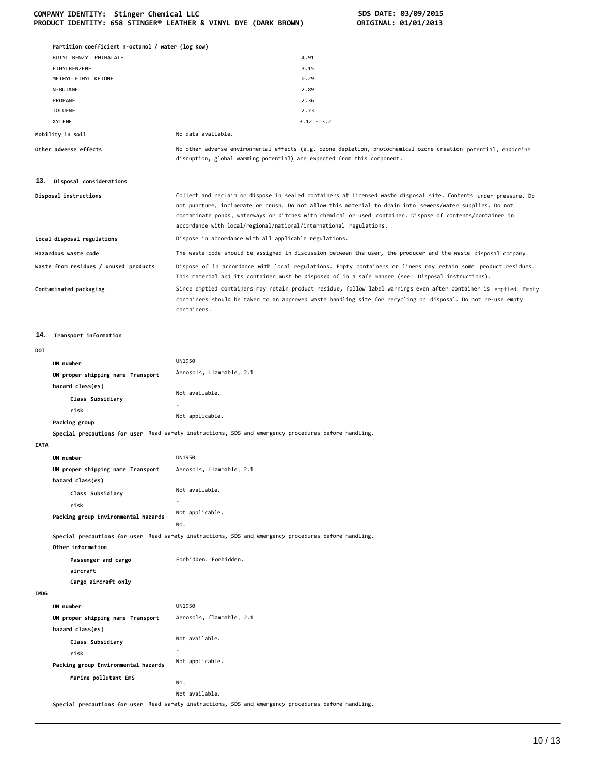|  | COMPANY IDENTITY: Stinger Chemical LLC                          |  |  |  |
|--|-----------------------------------------------------------------|--|--|--|
|  | PRODUCT IDENTITY: 658 STINGER® LEATHER & VINYL DYE (DARK BROWN) |  |  |  |

|             | Partition coefficient n-octanol / water (log Kow) |                                                                                                                                                                                                                                                                                              |
|-------------|---------------------------------------------------|----------------------------------------------------------------------------------------------------------------------------------------------------------------------------------------------------------------------------------------------------------------------------------------------|
|             | BUTYL BENZYL PHTHALATE                            | 4.91                                                                                                                                                                                                                                                                                         |
|             | ETHYLBENZENE                                      | 3.15                                                                                                                                                                                                                                                                                         |
|             | METHYL ETHYL KETONE                               | 0.29                                                                                                                                                                                                                                                                                         |
|             | N-BUTANE                                          | 2.89                                                                                                                                                                                                                                                                                         |
|             | PROPANE                                           | 2.36                                                                                                                                                                                                                                                                                         |
|             | <b>TOLUENE</b><br>XYLENE                          | 2.73<br>$3.12 - 3.2$                                                                                                                                                                                                                                                                         |
|             | Mobility in soil                                  | No data available.                                                                                                                                                                                                                                                                           |
|             |                                                   |                                                                                                                                                                                                                                                                                              |
|             | Other adverse effects                             | No other adverse environmental effects (e.g. ozone depletion, photochemical ozone creation potential, endocrine<br>disruption, global warming potential) are expected from this component.                                                                                                   |
| 13.         | Disposal considerations                           |                                                                                                                                                                                                                                                                                              |
|             | Disposal instructions                             | Collect and reclaim or dispose in sealed containers at licensed waste disposal site. Contents under pressure. Do                                                                                                                                                                             |
|             |                                                   | not puncture, incinerate or crush. Do not allow this material to drain into sewers/water supplies. Do not<br>contaminate ponds, waterways or ditches with chemical or used container. Dispose of contents/container in<br>accordance with local/regional/national/international regulations. |
|             | Local disposal regulations                        | Dispose in accordance with all applicable regulations.                                                                                                                                                                                                                                       |
|             | Hazardous waste code                              | The waste code should be assigned in discussion between the user, the producer and the waste disposal company.                                                                                                                                                                               |
|             | Waste from residues / unused products             | Dispose of in accordance with local regulations. Empty containers or liners may retain some product residues.<br>This material and its container must be disposed of in a safe manner (see: Disposal instructions).                                                                          |
|             | Contaminated packaging                            | Since emptied containers may retain product residue, follow label warnings even after container is emptied. Empty<br>containers should be taken to an approved waste handling site for recycling or disposal. Do not re-use empty<br>containers.                                             |
| 14.         | Transport information                             |                                                                                                                                                                                                                                                                                              |
| DOT         |                                                   |                                                                                                                                                                                                                                                                                              |
|             | UN number                                         | UN1950                                                                                                                                                                                                                                                                                       |
|             | UN proper shipping name Transport                 | Aerosols, flammable, 2.1                                                                                                                                                                                                                                                                     |
|             | hazard class(es)                                  |                                                                                                                                                                                                                                                                                              |
|             | Class Subsidiary                                  | Not available.                                                                                                                                                                                                                                                                               |
|             | risk                                              |                                                                                                                                                                                                                                                                                              |
|             | Packing group                                     | Not applicable.                                                                                                                                                                                                                                                                              |
|             |                                                   | Special precautions for user Read safety instructions, SDS and emergency procedures before handling.                                                                                                                                                                                         |
| <b>IATA</b> |                                                   |                                                                                                                                                                                                                                                                                              |
|             | UN number                                         | <b>UN1950</b>                                                                                                                                                                                                                                                                                |
|             | UN proper shipping name Transport                 | Aerosols, flammable, 2.1                                                                                                                                                                                                                                                                     |
|             | hazard class(es)                                  |                                                                                                                                                                                                                                                                                              |
|             | Class Subsidiary                                  | Not available.                                                                                                                                                                                                                                                                               |
|             | risk                                              | $\overline{\phantom{a}}$                                                                                                                                                                                                                                                                     |
|             | Packing group Environmental hazards               | Not applicable.<br>No.                                                                                                                                                                                                                                                                       |
|             |                                                   |                                                                                                                                                                                                                                                                                              |
|             | Other information                                 | Special precautions for user Read safety instructions, SDS and emergency procedures before handling.                                                                                                                                                                                         |
|             | Passenger and cargo<br>aircraft                   | Forbidden. Forbidden.                                                                                                                                                                                                                                                                        |
|             | Cargo aircraft only                               |                                                                                                                                                                                                                                                                                              |
| IMDG        |                                                   |                                                                                                                                                                                                                                                                                              |
|             | UN number                                         | <b>UN1950</b>                                                                                                                                                                                                                                                                                |
|             | UN proper shipping name Transport                 | Aerosols, flammable, 2.1                                                                                                                                                                                                                                                                     |
|             | hazard class(es)                                  |                                                                                                                                                                                                                                                                                              |
|             | Class Subsidiary                                  | Not available.                                                                                                                                                                                                                                                                               |
|             | risk                                              |                                                                                                                                                                                                                                                                                              |
|             | Packing group Environmental hazards               | Not applicable.                                                                                                                                                                                                                                                                              |
|             | Marine pollutant EmS                              | No.                                                                                                                                                                                                                                                                                          |
|             |                                                   | Not available.                                                                                                                                                                                                                                                                               |
|             |                                                   |                                                                                                                                                                                                                                                                                              |

**Special precautions for user** Read safety instructions, SDS and emergency procedures before handling.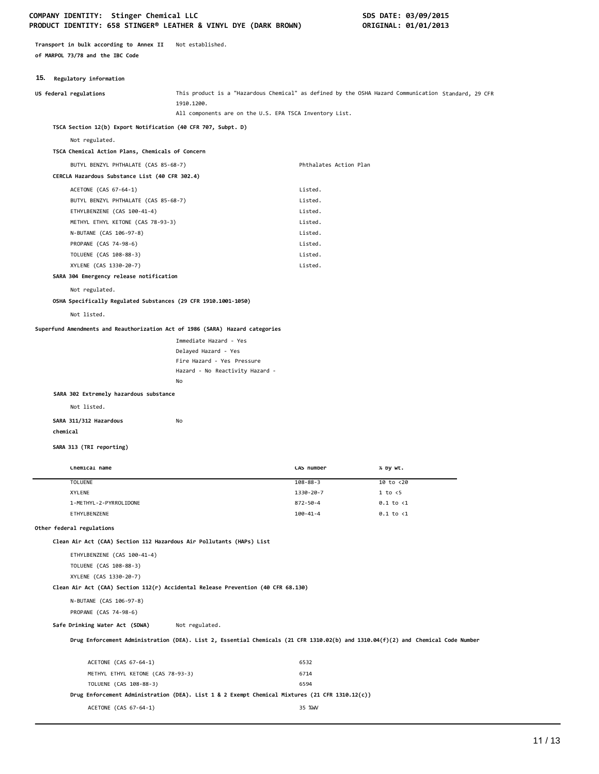**Transport in bulk according to Annex II** Not established. **of MARPOL 73/78 and the IBC Code**

#### **15. Regulatory information**

| <b>19.</b> Acgustory Information                                                                           |                                                                                                                                  |                        |                                                                                                     |
|------------------------------------------------------------------------------------------------------------|----------------------------------------------------------------------------------------------------------------------------------|------------------------|-----------------------------------------------------------------------------------------------------|
| US federal regulations                                                                                     | 1910.1200.<br>All components are on the U.S. EPA TSCA Inventory List.                                                            |                        | This product is a "Hazardous Chemical" as defined by the OSHA Hazard Communication Standard, 29 CFR |
| TSCA Section 12(b) Export Notification (40 CFR 707, Subpt. D)                                              |                                                                                                                                  |                        |                                                                                                     |
|                                                                                                            |                                                                                                                                  |                        |                                                                                                     |
| Not regulated.                                                                                             |                                                                                                                                  |                        |                                                                                                     |
| TSCA Chemical Action Plans, Chemicals of Concern                                                           |                                                                                                                                  |                        |                                                                                                     |
| BUTYL BENZYL PHTHALATE (CAS 85-68-7)                                                                       |                                                                                                                                  | Phthalates Action Plan |                                                                                                     |
| CERCLA Hazardous Substance List (40 CFR 302.4)                                                             |                                                                                                                                  |                        |                                                                                                     |
| ACETONE (CAS 67-64-1)                                                                                      |                                                                                                                                  | Listed.                |                                                                                                     |
| BUTYL BENZYL PHTHALATE (CAS 85-68-7)                                                                       |                                                                                                                                  | Listed.                |                                                                                                     |
| ETHYLBENZENE (CAS 100-41-4)                                                                                |                                                                                                                                  | Listed.                |                                                                                                     |
| METHYL ETHYL KETONE (CAS 78-93-3)                                                                          |                                                                                                                                  | Listed.                |                                                                                                     |
| N-BUTANE (CAS 106-97-8)                                                                                    |                                                                                                                                  | Listed.                |                                                                                                     |
| PROPANE (CAS 74-98-6)                                                                                      |                                                                                                                                  | Listed.                |                                                                                                     |
| TOLUENE (CAS 108-88-3)                                                                                     |                                                                                                                                  | Listed.                |                                                                                                     |
| XYLENE (CAS 1330-20-7)<br>SARA 304 Emergency release notification                                          |                                                                                                                                  | Listed.                |                                                                                                     |
|                                                                                                            |                                                                                                                                  |                        |                                                                                                     |
| Not regulated.                                                                                             |                                                                                                                                  |                        |                                                                                                     |
| OSHA Specifically Regulated Substances (29 CFR 1910.1001-1050)                                             |                                                                                                                                  |                        |                                                                                                     |
| Not listed.                                                                                                |                                                                                                                                  |                        |                                                                                                     |
| Superfund Amendments and Reauthorization Act of 1986 (SARA) Hazard categories                              |                                                                                                                                  |                        |                                                                                                     |
|                                                                                                            | Immediate Hazard - Yes                                                                                                           |                        |                                                                                                     |
|                                                                                                            | Delayed Hazard - Yes                                                                                                             |                        |                                                                                                     |
|                                                                                                            | Fire Hazard - Yes Pressure                                                                                                       |                        |                                                                                                     |
|                                                                                                            | Hazard - No Reactivity Hazard -                                                                                                  |                        |                                                                                                     |
|                                                                                                            | No                                                                                                                               |                        |                                                                                                     |
| SARA 302 Extremely hazardous substance                                                                     |                                                                                                                                  |                        |                                                                                                     |
| Not listed.                                                                                                |                                                                                                                                  |                        |                                                                                                     |
| SARA 311/312 Hazardous                                                                                     | No                                                                                                                               |                        |                                                                                                     |
| chemical                                                                                                   |                                                                                                                                  |                        |                                                                                                     |
| SARA 313 (TRI reporting)                                                                                   |                                                                                                                                  |                        |                                                                                                     |
|                                                                                                            |                                                                                                                                  |                        |                                                                                                     |
| Chemical name                                                                                              |                                                                                                                                  | CAS number             | % by wt.                                                                                            |
| <b>TOLUENE</b>                                                                                             |                                                                                                                                  | $108 - 88 - 3$         | 10 to <20                                                                                           |
| <b>XYLENE</b>                                                                                              |                                                                                                                                  | 1330-20-7              | 1 to < 5                                                                                            |
| 1-METHYL-2-PYRROLIDONE                                                                                     |                                                                                                                                  | $872 - 50 - 4$         | $0.1$ to $<$ 1                                                                                      |
| ETHYLBENZENE                                                                                               |                                                                                                                                  | $100 - 41 - 4$         | $0.1$ to $\langle 1$                                                                                |
| Other federal regulations<br>Clean Air Act (CAA) Section 112 Hazardous Air Pollutants (HAPs) List          |                                                                                                                                  |                        |                                                                                                     |
|                                                                                                            |                                                                                                                                  |                        |                                                                                                     |
| ETHYLBENZENE (CAS 100-41-4)                                                                                |                                                                                                                                  |                        |                                                                                                     |
| TOLUENE (CAS 108-88-3)                                                                                     |                                                                                                                                  |                        |                                                                                                     |
| XYLENE (CAS 1330-20-7)<br>Clean Air Act (CAA) Section 112(r) Accidental Release Prevention (40 CFR 68.130) |                                                                                                                                  |                        |                                                                                                     |
|                                                                                                            |                                                                                                                                  |                        |                                                                                                     |
| N-BUTANE (CAS 106-97-8)                                                                                    |                                                                                                                                  |                        |                                                                                                     |
| PROPANE (CAS 74-98-6)                                                                                      |                                                                                                                                  |                        |                                                                                                     |
| Safe Drinking Water Act (SDWA)                                                                             | Not regulated.                                                                                                                   |                        |                                                                                                     |
|                                                                                                            | Drug Enforcement Administration (DEA). List 2, Essential Chemicals (21 CFR 1310.02(b) and 1310.04(f)(2) and Chemical Code Number |                        |                                                                                                     |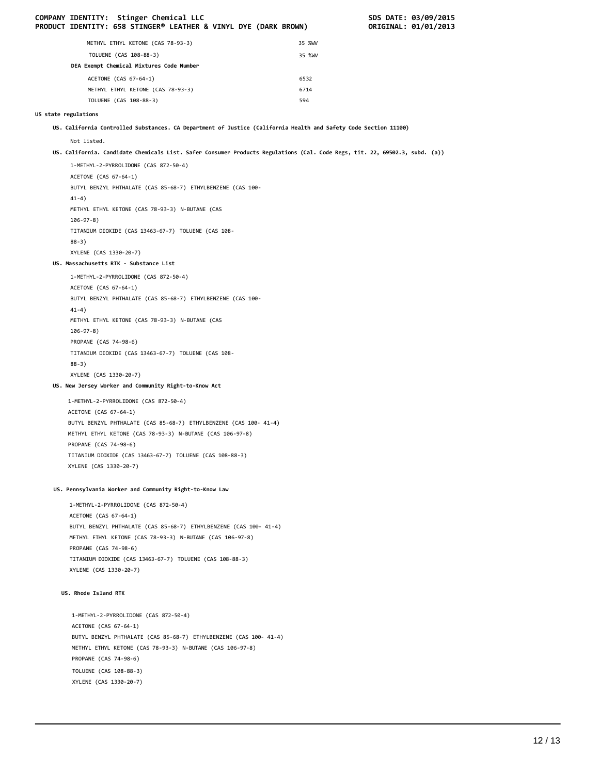| 35 %WV<br>METHYL ETHYL KETONE (CAS 78-93-3)<br>TOLUENE (CAS 108-88-3)<br>35 %WV<br>DEA Exempt Chemical Mixtures Code Number<br>ACETONE (CAS 67-64-1)<br>6532<br>METHYL ETHYL KETONE (CAS 78-93-3)<br>6714<br>TOLUENE (CAS 108-88-3)<br>594<br>US state regulations<br>US. California Controlled Substances. CA Department of Justice (California Health and Safety Code Section 11100) |  |
|----------------------------------------------------------------------------------------------------------------------------------------------------------------------------------------------------------------------------------------------------------------------------------------------------------------------------------------------------------------------------------------|--|
|                                                                                                                                                                                                                                                                                                                                                                                        |  |
|                                                                                                                                                                                                                                                                                                                                                                                        |  |
|                                                                                                                                                                                                                                                                                                                                                                                        |  |
|                                                                                                                                                                                                                                                                                                                                                                                        |  |
|                                                                                                                                                                                                                                                                                                                                                                                        |  |
|                                                                                                                                                                                                                                                                                                                                                                                        |  |
|                                                                                                                                                                                                                                                                                                                                                                                        |  |
|                                                                                                                                                                                                                                                                                                                                                                                        |  |
| Not listed.                                                                                                                                                                                                                                                                                                                                                                            |  |
| US. California. Candidate Chemicals List. Safer Consumer Products Regulations (Cal. Code Regs, tit. 22, 69502.3, subd. (a))                                                                                                                                                                                                                                                            |  |
| 1-METHYL-2-PYRROLIDONE (CAS 872-50-4)                                                                                                                                                                                                                                                                                                                                                  |  |
| ACETONE (CAS 67-64-1)                                                                                                                                                                                                                                                                                                                                                                  |  |
| BUTYL BENZYL PHTHALATE (CAS 85-68-7) ETHYLBENZENE (CAS 100-                                                                                                                                                                                                                                                                                                                            |  |
| $41-4)$<br>METHYL ETHYL KETONE (CAS 78-93-3) N-BUTANE (CAS                                                                                                                                                                                                                                                                                                                             |  |
| $106 - 97 - 8$ )                                                                                                                                                                                                                                                                                                                                                                       |  |
| TITANIUM DIOXIDE (CAS 13463-67-7) TOLUENE (CAS 108-                                                                                                                                                                                                                                                                                                                                    |  |
| $88-3)$                                                                                                                                                                                                                                                                                                                                                                                |  |
| XYLENE (CAS 1330-20-7)                                                                                                                                                                                                                                                                                                                                                                 |  |
| US. Massachusetts RTK - Substance List                                                                                                                                                                                                                                                                                                                                                 |  |
| 1-METHYL-2-PYRROLIDONE (CAS 872-50-4)                                                                                                                                                                                                                                                                                                                                                  |  |
| ACETONE (CAS 67-64-1)<br>BUTYL BENZYL PHTHALATE (CAS 85-68-7) ETHYLBENZENE (CAS 100-                                                                                                                                                                                                                                                                                                   |  |
| $41-4)$                                                                                                                                                                                                                                                                                                                                                                                |  |
| METHYL ETHYL KETONE (CAS 78-93-3) N-BUTANE (CAS                                                                                                                                                                                                                                                                                                                                        |  |
| $106 - 97 - 8$ )                                                                                                                                                                                                                                                                                                                                                                       |  |
| PROPANE (CAS 74-98-6)                                                                                                                                                                                                                                                                                                                                                                  |  |
| TITANIUM DIOXIDE (CAS 13463-67-7) TOLUENE (CAS 108-                                                                                                                                                                                                                                                                                                                                    |  |
| $88-3)$                                                                                                                                                                                                                                                                                                                                                                                |  |
| XYLENE (CAS 1330-20-7)<br>US. New Jersey Worker and Community Right-to-Know Act                                                                                                                                                                                                                                                                                                        |  |
|                                                                                                                                                                                                                                                                                                                                                                                        |  |
| 1-METHYL-2-PYRROLIDONE (CAS 872-50-4)<br>ACETONE (CAS 67-64-1)                                                                                                                                                                                                                                                                                                                         |  |
| BUTYL BENZYL PHTHALATE (CAS 85-68-7) ETHYLBENZENE (CAS 100- 41-4)                                                                                                                                                                                                                                                                                                                      |  |
| METHYL ETHYL KETONE (CAS 78-93-3) N-BUTANE (CAS 106-97-8)                                                                                                                                                                                                                                                                                                                              |  |
| PROPANE (CAS 74-98-6)                                                                                                                                                                                                                                                                                                                                                                  |  |
| TITANIUM DIOXIDE (CAS 13463-67-7) TOLUENE (CAS 108-88-3)                                                                                                                                                                                                                                                                                                                               |  |
| XYLENE (CAS 1330-20-7)                                                                                                                                                                                                                                                                                                                                                                 |  |
| US. Pennsylvania Worker and Community Right-to-Know Law                                                                                                                                                                                                                                                                                                                                |  |
|                                                                                                                                                                                                                                                                                                                                                                                        |  |
| 1-METHYL-2-PYRROLIDONE (CAS 872-50-4)<br>ACETONE (CAS 67-64-1)                                                                                                                                                                                                                                                                                                                         |  |
| BUTYL BENZYL PHTHALATE (CAS 85-68-7) ETHYLBENZENE (CAS 100- 41-4)                                                                                                                                                                                                                                                                                                                      |  |
| METHYL ETHYL KETONE (CAS 78-93-3) N-BUTANE (CAS 106-97-8)                                                                                                                                                                                                                                                                                                                              |  |
| PROPANE (CAS 74-98-6)                                                                                                                                                                                                                                                                                                                                                                  |  |
| TITANIUM DIOXIDE (CAS 13463-67-7) TOLUENE (CAS 108-88-3)                                                                                                                                                                                                                                                                                                                               |  |
| XYLENE (CAS 1330-20-7)                                                                                                                                                                                                                                                                                                                                                                 |  |
| US. Rhode Island RTK                                                                                                                                                                                                                                                                                                                                                                   |  |
| 1-METHYL-2-PYRROLIDONE (CAS 872-50-4)                                                                                                                                                                                                                                                                                                                                                  |  |
| ACETONE (CAS 67-64-1)                                                                                                                                                                                                                                                                                                                                                                  |  |
| BUTYL BENZYL PHTHALATE (CAS 85-68-7) ETHYLBENZENE (CAS 100- 41-4)                                                                                                                                                                                                                                                                                                                      |  |
|                                                                                                                                                                                                                                                                                                                                                                                        |  |
| METHYL ETHYL KETONE (CAS 78-93-3) N-BUTANE (CAS 106-97-8)                                                                                                                                                                                                                                                                                                                              |  |
| PROPANE (CAS 74-98-6)<br>TOLUENE (CAS 108-88-3)                                                                                                                                                                                                                                                                                                                                        |  |